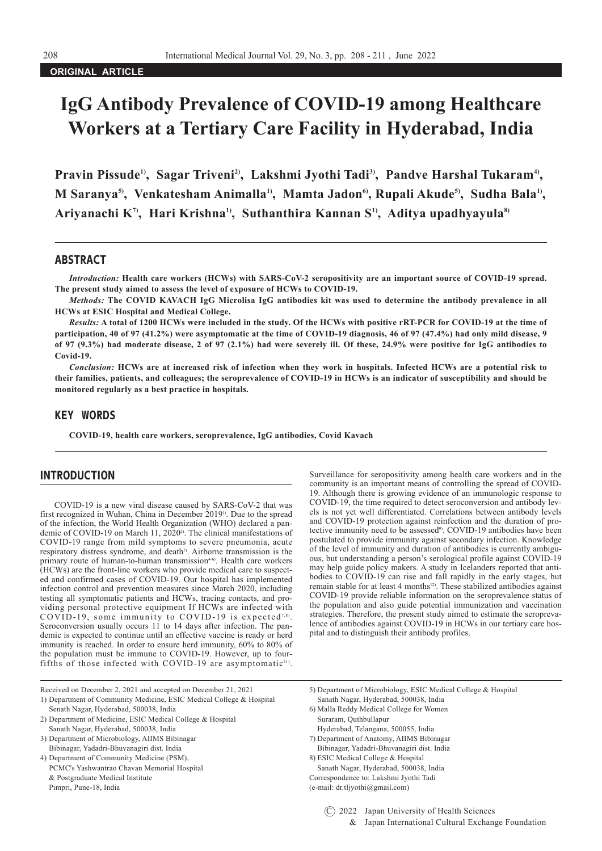## **ORIGINAL ARTICLE**

# **IgG Antibody Prevalence of COVID-19 among Healthcare Workers at a Tertiary Care Facility in Hyderabad, India**

Pravin Pissude<sup>1</sup>, Sagar Triveni<sup>2</sup>, Lakshmi Jyothi Tadi<sup>3</sup>, Pandve Harshal Tukaram<sup>4</sup>, M Saranya<sup>5)</sup>, Venkatesham Animalla<sup>1)</sup>, Mamta Jadon<sup>6</sup>, Rupali Akude<sup>5)</sup>, Sudha Bala<sup>1)</sup>, **Ariyanachi K7), Hari Krishna1), Suthanthira Kannan S1), Aditya upadhyayula8)**

# ABSTRACT

*Introduction:* **Health care workers (HCWs) with SARS-CoV-2 seropositivity are an important source of COVID-19 spread. The present study aimed to assess the level of exposure of HCWs to COVID-19.**

*Methods:* **The COVID KAVACH IgG Microlisa IgG antibodies kit was used to determine the antibody prevalence in all HCWs at ESIC Hospital and Medical College.**

*Results:* **A total of 1200 HCWs were included in the study. Of the HCWs with positive rRT-PCR for COVID-19 at the time of participation, 40 of 97 (41.2%) were asymptomatic at the time of COVID-19 diagnosis, 46 of 97 (47.4%) had only mild disease, 9 of 97 (9.3%) had moderate disease, 2 of 97 (2.1%) had were severely ill. Of these, 24.9% were positive for IgG antibodies to Covid-19.**

*Conclusion:* **HCWs are at increased risk of infection when they work in hospitals. Infected HCWs are a potential risk to their families, patients, and colleagues; the seroprevalence of COVID-19 in HCWs is an indicator of susceptibility and should be monitored regularly as a best practice in hospitals.**

# KEY WORDS

**COVID-19, health care workers, seroprevalence, IgG antibodies, Covid Kavach**

#### INTRODUCTION

COVID-19 is a new viral disease caused by SARS-CoV-2 that was first recognized in Wuhan, China in December 20191). Due to the spread of the infection, the World Health Organization (WHO) declared a pandemic of COVID-19 on March 11, 2020<sup>2)</sup>. The clinical manifestations of COVID-19 range from mild symptoms to severe pneumonia, acute respiratory distress syndrome, and death<sup>3)</sup>. Airborne transmission is the primary route of human-to-human transmission<sup>4-6)</sup>. Health care workers (HCWs) are the front-line workers who provide medical care to suspected and confirmed cases of COVID-19. Our hospital has implemented infection control and prevention measures since March 2020, including testing all symptomatic patients and HCWs, tracing contacts, and providing personal protective equipment If HCWs are infected with COVID-19, some immunity to COVID-19 is expected<sup>7,8)</sup>. Seroconversion usually occurs 11 to 14 days after infection. The pandemic is expected to continue until an effective vaccine is ready or herd immunity is reached. In order to ensure herd immunity, 60% to 80% of the population must be immune to COVID-19. However, up to fourfifths of those infected with COVID-19 are asymptomatic<sup>11)</sup>.

Surveillance for seropositivity among health care workers and in the community is an important means of controlling the spread of COVID-19. Although there is growing evidence of an immunologic response to COVID-19, the time required to detect seroconversion and antibody levels is not yet well differentiated. Correlations between antibody levels and COVID-19 protection against reinfection and the duration of protective immunity need to be assessed<sup>9)</sup>. COVID-19 antibodies have been postulated to provide immunity against secondary infection. Knowledge of the level of immunity and duration of antibodies is currently ambiguous, but understanding a person's serological profile against COVID-19 may help guide policy makers. A study in Icelanders reported that antibodies to COVID-19 can rise and fall rapidly in the early stages, but remain stable for at least 4 months<sup>12</sup>. These stabilized antibodies against COVID-19 provide reliable information on the seroprevalence status of the population and also guide potential immunization and vaccination strategies. Therefore, the present study aimed to estimate the seroprevalence of antibodies against COVID-19 in HCWs in our tertiary care hospital and to distinguish their antibody profiles.

- PCMC's Yashwantrao Chavan Memorial Hospital Sanath Nagar, Hyderabad, 500038, India & Postgraduate Medical Institute Correspondence to: Lakshmi Jyothi Tadi Pimpri, Pune-18, India (e-mail: dr.tljyothi@gmail.com)
- 
- 
- 
- 3) Department of Microbiology, AIIMS Bibinagar 7) Department of Anatomy, AIIMS Bibinagar Bibinagar, Yadadri-Bhuvanagiri dist. India Bibinagar, Yadadri-Bhuvanagiri dist. India
- 4) Department of Community Medicine (PSM), 8) ESIC Medical College & Hospital
	-

Received on December 2, 2021 and accepted on December 21, 2021 5) Department of Microbiology, ESIC Medical College & Hospital

<sup>1)</sup> Department of Community Medicine, ESIC Medical College & Hospital Sanath Nagar, Hyderabad, 500038, India Senath Nagar, Hyderabad, 500038, India 6) Malla Reddy Medical College for Women

<sup>2)</sup> Department of Medicine, ESIC Medical College & Hospital Suraram, Quthbullapur Sanath Nagar, Hyderabad, 500038, India Hyderabad, Telangana, 500055, India Hyderabad, Telangana, 500055, India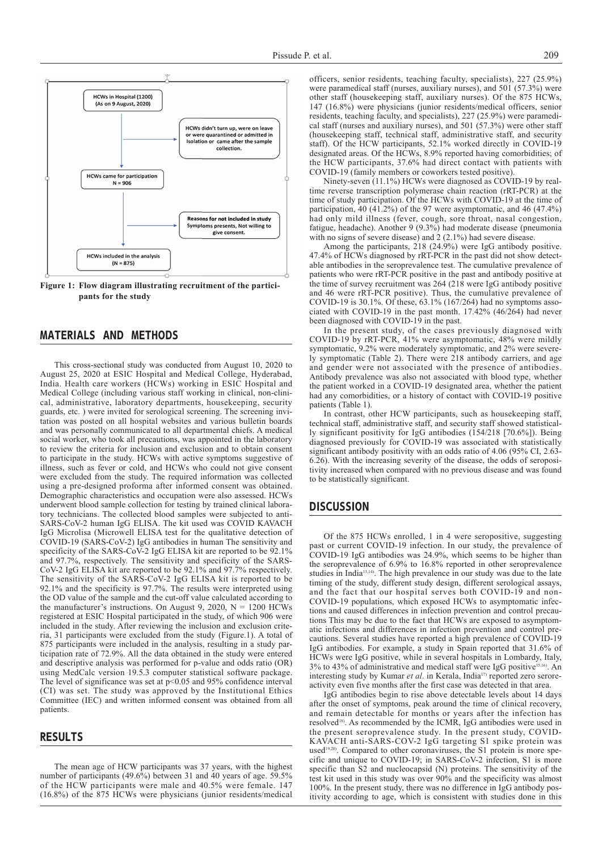

**Figure 1: Flow diagram illustrating recruitment of the participants for the study**

#### MATERIALS AND METHODS

This cross-sectional study was conducted from August 10, 2020 to August 25, 2020 at ESIC Hospital and Medical College, Hyderabad, India. Health care workers (HCWs) working in ESIC Hospital and Medical College (including various staff working in clinical, non-clinical, administrative, laboratory departments, housekeeping, security guards, etc. ) were invited for serological screening. The screening invitation was posted on all hospital websites and various bulletin boards and was personally communicated to all departmental chiefs. A medical social worker, who took all precautions, was appointed in the laboratory to review the criteria for inclusion and exclusion and to obtain consent to participate in the study. HCWs with active symptoms suggestive of illness, such as fever or cold, and HCWs who could not give consent were excluded from the study. The required information was collected using a pre-designed proforma after informed consent was obtained. Demographic characteristics and occupation were also assessed. HCWs underwent blood sample collection for testing by trained clinical laboratory technicians. The collected blood samples were subjected to anti-SARS-CoV-2 human IgG ELISA. The kit used was COVID KAVACH IgG Microlisa (Microwell ELISA test for the qualitative detection of COVID-19 (SARS-CoV-2) IgG antibodies in human The sensitivity and specificity of the SARS-CoV-2 IgG ELISA kit are reported to be 92.1% and 97.7%, respectively. The sensitivity and specificity of the SARS-CoV-2 IgG ELISA kit are reported to be 92.1% and 97.7% respectively. The sensitivity of the SARS-CoV-2 IgG ELISA kit is reported to be 92.1% and the specificity is 97.7%. The results were interpreted using the OD value of the sample and the cut-off value calculated according to the manufacturer's instructions. On August 9, 2020,  $N = 1200$  HCWs registered at ESIC Hospital participated in the study, of which 906 were included in the study. After reviewing the inclusion and exclusion criteria, 31 participants were excluded from the study (Figure.1). A total of 875 participants were included in the analysis, resulting in a study participation rate of 72.9%. All the data obtained in the study were entered and descriptive analysis was performed for p-value and odds ratio (OR) using MedCalc version 19.5.3 computer statistical software package. The level of significance was set at p<0.05 and 95% confidence interval (CI) was set. The study was approved by the Institutional Ethics Committee (IEC) and written informed consent was obtained from all patients.

### RESULTS

The mean age of HCW participants was 37 years, with the highest number of participants (49.6%) between 31 and 40 years of age. 59.5% of the HCW participants were male and 40.5% were female. 147 (16.8%) of the 875 HCWs were physicians (junior residents/medical officers, senior residents, teaching faculty, specialists), 227 (25.9%) were paramedical staff (nurses, auxiliary nurses), and 501 (57.3%) were other staff (housekeeping staff, auxiliary nurses). Of the 875 HCWs, 147 (16.8%) were physicians (junior residents/medical officers, senior residents, teaching faculty, and specialists), 227 (25.9%) were paramedical staff (nurses and auxiliary nurses), and 501 (57.3%) were other staff (housekeeping staff, technical staff, administrative staff, and security staff). Of the HCW participants, 52.1% worked directly in COVID-19 designated areas. Of the HCWs, 8.9% reported having comorbidities; of the HCW participants, 37.6% had direct contact with patients with COVID-19 (family members or coworkers tested positive).

Ninety-seven (11.1%) HCWs were diagnosed as COVID-19 by realtime reverse transcription polymerase chain reaction (rRT-PCR) at the time of study participation. Of the HCWs with COVID-19 at the time of participation, 40 (41.2%) of the 97 were asymptomatic, and 46 (47.4%) had only mild illness (fever, cough, sore throat, nasal congestion, fatigue, headache). Another 9 (9.3%) had moderate disease (pneumonia with no signs of severe disease) and 2 (2.1%) had severe disease.

Among the participants, 218 (24.9%) were IgG antibody positive. 47.4% of HCWs diagnosed by rRT-PCR in the past did not show detectable antibodies in the seroprevalence test. The cumulative prevalence of patients who were rRT-PCR positive in the past and antibody positive at the time of survey recruitment was 264 (218 were IgG antibody positive and 46 were rRT-PCR positive). Thus, the cumulative prevalence of COVID-19 is 30.1%. Of these, 63.1% (167/264) had no symptoms associated with COVID-19 in the past month. 17.42% (46/264) had never been diagnosed with COVID-19 in the past.

In the present study, of the cases previously diagnosed with COVID-19 by rRT-PCR, 41% were asymptomatic, 48% were mildly symptomatic, 9.2% were moderately symptomatic, and 2% were severely symptomatic (Table 2). There were 218 antibody carriers, and age and gender were not associated with the presence of antibodies. Antibody prevalence was also not associated with blood type, whether the patient worked in a COVID-19 designated area, whether the patient had any comorbidities, or a history of contact with COVID-19 positive patients (Table 1).

In contrast, other HCW participants, such as housekeeping staff, technical staff, administrative staff, and security staff showed statistically significant positivity for IgG antibodies (154/218 [70.6%]). Being diagnosed previously for COVID-19 was associated with statistically significant antibody positivity with an odds ratio of 4.06 (95% CI, 2.63- 6.26). With the increasing severity of the disease, the odds of seropositivity increased when compared with no previous disease and was found to be statistically significant.

#### **DISCUSSION**

Of the 875 HCWs enrolled, 1 in 4 were seropositive, suggesting past or current COVID-19 infection. In our study, the prevalence of COVID-19 IgG antibodies was 24.9%, which seems to be higher than the seroprevalence of 6.9% to 16.8% reported in other seroprevalence studies in India13,14). The high prevalence in our study was due to the late timing of the study, different study design, different serological assays, and the fact that our hospital serves both COVID-19 and non-COVID-19 populations, which exposed HCWs to asymptomatic infections and caused differences in infection prevention and control precautions This may be due to the fact that HCWs are exposed to asymptomatic infections and differences in infection prevention and control precautions. Several studies have reported a high prevalence of COVID-19 IgG antibodies. For example, a study in Spain reported that 31.6% of HCWs were IgG positive, while in several hospitals in Lombardy, Italy, 3% to 43% of administrative and medical staff were IgG positive15,16). An interesting study by Kumar *et al.* in Kerala, India<sup>17)</sup> reported zero seroreactivity even five months after the first case was detected in that area.

IgG antibodies begin to rise above detectable levels about 14 days after the onset of symptoms, peak around the time of clinical recovery, and remain detectable for months or years after the infection has resolved<sup>18)</sup>. As recommended by the ICMR, IgG antibodies were used in the present seroprevalence study. In the present study, COVID-KAVACH anti-SARS-COV-2 IgG targeting S1 spike protein was used<sup>19,20)</sup>. Compared to other coronaviruses, the S1 protein is more specific and unique to COVID-19; in SARS-CoV-2 infection, S1 is more specific than S2 and nucleocapsid (N) proteins. The sensitivity of the test kit used in this study was over 90% and the specificity was almost 100%. In the present study, there was no difference in IgG antibody positivity according to age, which is consistent with studies done in this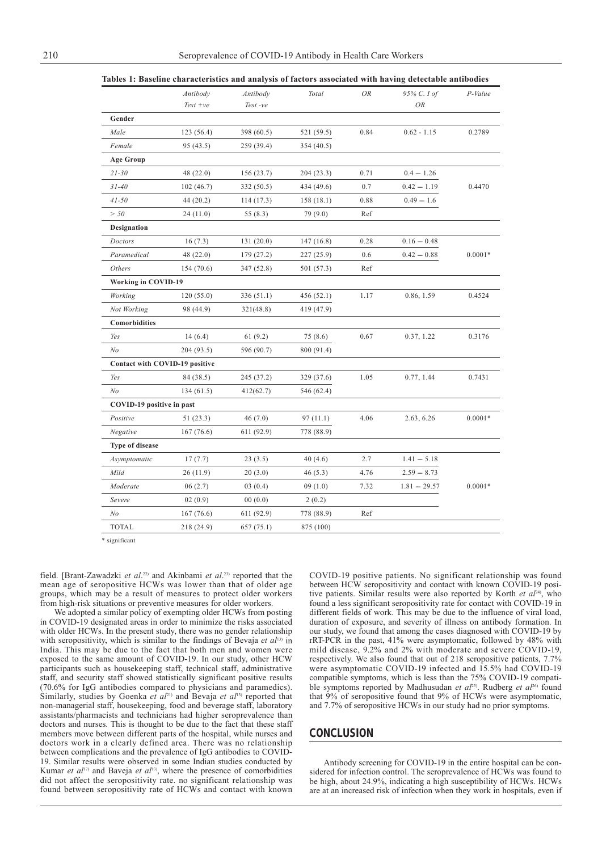|                                | Antibody   | Antibody   | Total      | OR   | 95% C. I of    | P-Value   |
|--------------------------------|------------|------------|------------|------|----------------|-----------|
|                                | $Test +ve$ | Test-ve    |            |      | OR             |           |
| Gender                         |            |            |            |      |                |           |
| Male                           | 123 (56.4) | 398 (60.5) | 521 (59.5) | 0.84 | $0.62 - 1.15$  | 0.2789    |
| Female                         | 95 (43.5)  | 259 (39.4) | 354 (40.5) |      |                |           |
| <b>Age Group</b>               |            |            |            |      |                |           |
| $21 - 30$                      | 48 (22.0)  | 156(23.7)  | 204(23.3)  | 0.71 | $0.4 - 1.26$   |           |
| $31 - 40$                      | 102(46.7)  | 332 (50.5) | 434 (49.6) | 0.7  | $0.42 - 1.19$  | 0.4470    |
| $41 - 50$                      | 44 (20.2)  | 114(17.3)  | 158(18.1)  | 0.88 | $0.49 - 1.6$   |           |
| > 50                           | 24(11.0)   | 55(8.3)    | 79 (9.0)   | Ref  |                |           |
| <b>Designation</b>             |            |            |            |      |                |           |
| Doctors                        | 16(7.3)    | 131(20.0)  | 147(16.8)  | 0.28 | $0.16 - 0.48$  |           |
| Paramedical                    | 48 (22.0)  | 179 (27.2) | 227 (25.9) | 0.6  | $0.42 - 0.88$  | $0.0001*$ |
| Others                         | 154 (70.6) | 347 (52.8) | 501 (57.3) | Ref  |                |           |
| <b>Working in COVID-19</b>     |            |            |            |      |                |           |
| Working                        | 120(55.0)  | 336(51.1)  | 456(52.1)  | 1.17 | 0.86, 1.59     | 0.4524    |
| Not Working                    | 98 (44.9)  | 321(48.8)  | 419 (47.9) |      |                |           |
| Comorbidities                  |            |            |            |      |                |           |
| Yes                            | 14(6.4)    | 61(9.2)    | 75 (8.6)   | 0.67 | 0.37, 1.22     | 0.3176    |
| No                             | 204 (93.5) | 596 (90.7) | 800 (91.4) |      |                |           |
| Contact with COVID-19 positive |            |            |            |      |                |           |
| Yes                            | 84 (38.5)  | 245 (37.2) | 329 (37.6) | 1.05 | 0.77, 1.44     | 0.7431    |
| No                             | 134(61.5)  | 412(62.7)  | 546 (62.4) |      |                |           |
| COVID-19 positive in past      |            |            |            |      |                |           |
| Positive                       | 51(23.3)   | 46(7.0)    | 97(11.1)   | 4.06 | 2.63, 6.26     | $0.0001*$ |
| Negative                       | 167(76.6)  | 611 (92.9) | 778 (88.9) |      |                |           |
| <b>Type of disease</b>         |            |            |            |      |                |           |
| Asymptomatic                   | 17(7.7)    | 23(3.5)    | 40(4.6)    | 2.7  | $1.41 - 5.18$  |           |
| Mild                           | 26(11.9)   | 20(3.0)    | 46(5.3)    | 4.76 | $2.59 - 8.73$  |           |
| Moderate                       | 06(2.7)    | 03(0.4)    | 09(1.0)    | 7.32 | $1.81 - 29.57$ | $0.0001*$ |
| Severe                         | 02(0.9)    | 00(0.0)    | 2(0.2)     |      |                |           |
| No                             | 167(76.6)  | 611 (92.9) | 778 (88.9) | Ref  |                |           |
| <b>TOTAL</b>                   | 218 (24.9) | 657 (75.1) | 875 (100)  |      |                |           |

**Tables 1: Baseline characteristics and analysis of factors associated with having detectable antibodies**

\* significant

field. [Brant-Zawadzki *et al.*<sup>22)</sup> and Akinbami *et al.*<sup>23)</sup> reported that the mean age of seropositive HCWs was lower than that of older age groups, which may be a result of measures to protect older workers from high-risk situations or preventive measures for older workers.

We adopted a similar policy of exempting older HCWs from posting in COVID-19 designated areas in order to minimize the risks associated with older HCWs. In the present study, there was no gender relationship with seropositivity, which is similar to the findings of Bevaja *et al*<sup>13)</sup> in India. This may be due to the fact that both men and women were exposed to the same amount of COVID-19. In our study, other HCW participants such as housekeeping staff, technical staff, administrative staff, and security staff showed statistically significant positive results (70.6% for IgG antibodies compared to physicians and paramedics). Similarly, studies by Goenka *et al*<sup>21)</sup> and Bevaja *et al*<sup>13</sup> reported that non-managerial staff, housekeeping, food and beverage staff, laboratory assistants/pharmacists and technicians had higher seroprevalence than doctors and nurses. This is thought to be due to the fact that these staff members move between different parts of the hospital, while nurses and doctors work in a clearly defined area. There was no relationship between complications and the prevalence of IgG antibodies to COVID-19. Similar results were observed in some Indian studies conducted by Kumar *et al*17) and Baveja *et al*13), where the presence of comorbidities did not affect the seropositivity rate. no significant relationship was found between seropositivity rate of HCWs and contact with known COVID-19 positive patients. No significant relationship was found between HCW seropositivity and contact with known COVID-19 positive patients. Similar results were also reported by Korth *et al*24), who found a less significant seropositivity rate for contact with COVID-19 in different fields of work. This may be due to the influence of viral load, duration of exposure, and severity of illness on antibody formation. In our study, we found that among the cases diagnosed with COVID-19 by rRT-PCR in the past, 41% were asymptomatic, followed by 48% with mild disease, 9.2% and 2% with moderate and severe COVID-19, respectively. We also found that out of 218 seropositive patients, 7.7% were asymptomatic COVID-19 infected and 15.5% had COVID-19 compatible symptoms, which is less than the 75% COVID-19 compatible symptoms reported by Madhusudan *et al*<sup>25)</sup>. Rudberg *et al*<sup>26)</sup> found that 9% of seropositive found that 9% of HCWs were asymptomatic, and 7.7% of seropositive HCWs in our study had no prior symptoms.

# **CONCLUSION**

Antibody screening for COVID-19 in the entire hospital can be considered for infection control. The seroprevalence of HCWs was found to be high, about 24.9%, indicating a high susceptibility of HCWs. HCWs are at an increased risk of infection when they work in hospitals, even if